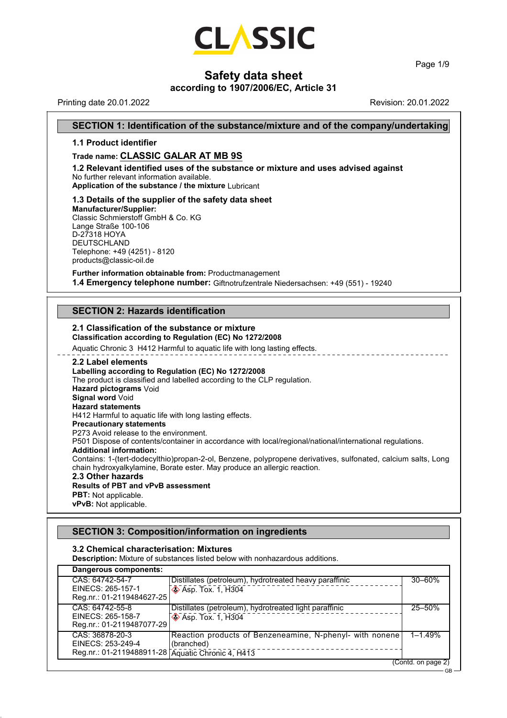

Page 1/9

GB

# **Safety data sheet**

#### **according to 1907/2006/EC, Article 31**

Printing date 20.01.2022 Revision: 20.01.2022

#### **SECTION 1: Identification of the substance/mixture and of the company/undertaking**

#### **1.1 Product identifier**

#### **Trade name: CLASSIC GALAR AT MB 9S**

**1.2 Relevant identified uses of the substance or mixture and uses advised against** No further relevant information available.

**Application of the substance / the mixture** Lubricant

#### **1.3 Details of the supplier of the safety data sheet**

**Manufacturer/Supplier:** Classic Schmierstoff GmbH & Co. KG Lange Straße 100-106 D-27318 HOYA DEUTSCHLAND Telephone: +49 (4251) - 8120 products@classic-oil.de

**Further information obtainable from:** Productmanagement **1.4 Emergency telephone number:** Giftnotrufzentrale Niedersachsen: +49 (551) - 19240

#### **SECTION 2: Hazards identification**

#### **2.1 Classification of the substance or mixture Classification according to Regulation (EC) No 1272/2008**

Aquatic Chronic 3 H412 Harmful to aquatic life with long lasting effects.

#### **2.2 Label elements**

#### **Labelling according to Regulation (EC) No 1272/2008** The product is classified and labelled according to the CLP regulation. **Hazard pictograms** Void **Signal word Void Hazard statements** H412 Harmful to aquatic life with long lasting effects. **Precautionary statements** P273 Avoid release to the environment. P501 Dispose of contents/container in accordance with local/regional/national/international regulations. **Additional information:** Contains: 1-(tert-dodecylthio)propan-2-ol, Benzene, polypropene derivatives, sulfonated, calcium salts, Long chain hydroxyalkylamine, Borate ester. May produce an allergic reaction. **2.3 Other hazards Results of PBT and vPvB assessment**

**PBT:** Not applicable. **vPvB:** Not applicable.

#### **SECTION 3: Composition/information on ingredients**

#### **3.2 Chemical characterisation: Mixtures**

**Description:** Mixture of substances listed below with nonhazardous additions.

| Dangerous components:                                                                     |                                                                                      |                    |
|-------------------------------------------------------------------------------------------|--------------------------------------------------------------------------------------|--------------------|
| CAS: 64742-54-7<br>EINECS: 265-157-1<br>Reg.nr.: 01-2119484627-25                         | Distillates (petroleum), hydrotreated heavy paraffinic<br><b>♦ Asp. Tox. 1, H304</b> | $30 - 60%$         |
| CAS: 64742-55-8<br>EINECS: 265-158-7<br>Reg.nr.: 01-2119487077-29                         | Distillates (petroleum), hydrotreated light paraffinic<br><b>Asp. Tox. 1, H304</b>   | 25-50%             |
| CAS: 36878-20-3<br>EINECS: 253-249-4<br>Reg.nr.: 01-2119488911-28 Aquatic Chronic 4, H413 | Reaction products of Benzeneamine, N-phenyl- with nonene<br>(branched)               | $1 - 1.49%$        |
|                                                                                           |                                                                                      | (Contd. on page 2) |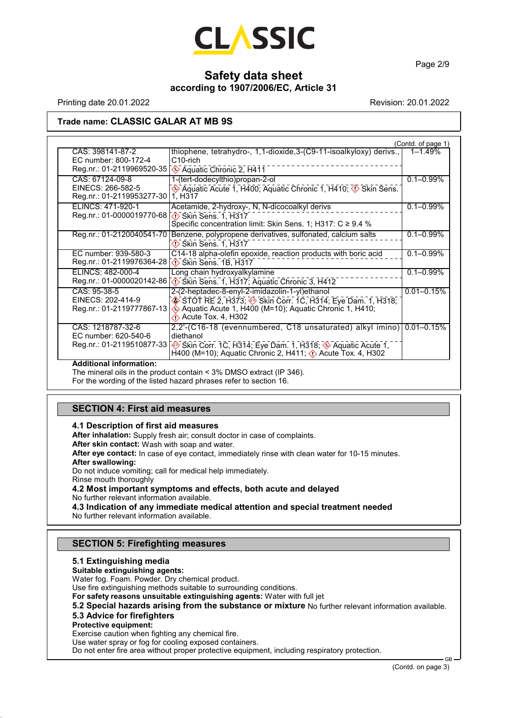

Page 2/9

# **Safety data sheet according to 1907/2006/EC, Article 31**

Printing date 20.01.2022 **Revision: 20.01.2022** Revision: 20.01.2022

#### **Trade name: CLASSIC GALAR AT MB 9S**

|                                                                                                                   |                                                                                                                                                                                                                                                    | (Contd. of page 1) |
|-------------------------------------------------------------------------------------------------------------------|----------------------------------------------------------------------------------------------------------------------------------------------------------------------------------------------------------------------------------------------------|--------------------|
| CAS: 398141-87-2<br>EC number: 800-172-4<br>Reg.nr.: 01-2119969520-35 < <a> Gagatic Chronic 2, H411</a>           | thiophene, tetrahydro-, 1,1-dioxide,3-(C9-11-isoalkyloxy) derivs.,<br>C <sub>10-rich</sub>                                                                                                                                                         | 1-1.49%            |
| CAS: 67124-09-8<br>EINECS: 266-582-5                                                                              | 1-(tert-dodecylthio)propan-2-ol<br>Aquatic Acute 1, H400; Aquatic Chronic 1, H410; 1 Skin Sens.                                                                                                                                                    | $0.1 - 0.99\%$     |
| Reg.nr.: 01-2119953277-30<br>ELINCS: 471-920-1<br>Reg.nr.: 01-0000019770-68 ( $\sqrt{\sqrt{}}$ Skin Sens. 1, H317 | 1. H <sub>3</sub> 17<br>Acetamide, 2-hydroxy-, N, N-dicocoalkyl derivs<br>Specific concentration limit: Skin Sens. 1; H317: $C \ge 9.4$ %                                                                                                          | $0.1 - 0.99\%$     |
| Reg.nr.: 01-2120040541-70                                                                                         | Benzene, polypropene derivatives, sulfonated, calcium salts<br>$\Diamond$ Skin Sens. 1, H317                                                                                                                                                       | $0.1 - 0.99\%$     |
| EC number: 939-580-3                                                                                              | C14-18 alpha-olefin epoxide, reaction products with boric acid                                                                                                                                                                                     | $0.1 - 0.99\%$     |
| ELINCS: 482-000-4                                                                                                 | Long chain hydroxyalkylamine<br>Reg.nr.: 01-0000020142-86 \\ Skin Sens. 1, H317; Aquatic Chronic 3, H412                                                                                                                                           | $0.1 - 0.99\%$     |
| CAS: 95-38-5<br>EINECS: 202-414-9<br>Reg.nr.: 01-2119777867-13                                                    | 2-(2-heptadec-8-enyl-2-imidazolin-1-yl)ethanol<br>$\circledast$ STOT RE 2, H373; $\circledast$ Skin Corr. 1C, H314; Eye Dam. 1, H318;<br>Aquatic Acute 1, H400 (M=10); Aquatic Chronic 1, H410;<br>$\Diamond$ Acute Tox. 4, H302                   | $0.01 - 0.15%$     |
| CAS: 1218787-32-6<br>EC number: 620-540-6<br>Reg.nr.: 01-2119510877-33                                            | 2,2'-(C16-18 (evennumbered, C18 unsaturated) alkyl imino) 0.01-0.15%<br>diethanol<br>Skin Corr. 1C, H314; Eye Dam. 1, H318; $\leftrightarrow$ Aquatic Acute 1,<br>H400 (M=10); Aquatic Chronic 2, H411; $\langle \cdot \rangle$ Acute Tox. 4, H302 |                    |

#### **Additional information:**

The mineral oils in the product contain < 3% DMSO extract (IP 346).

For the wording of the listed hazard phrases refer to section 16.

#### **SECTION 4: First aid measures**

#### **4.1 Description of first aid measures**

**After inhalation:** Supply fresh air; consult doctor in case of complaints.

**After skin contact:** Wash with soap and water.

**After eye contact:** In case of eye contact, immediately rinse with clean water for 10-15 minutes.

**After swallowing:**

Do not induce vomiting; call for medical help immediately.

Rinse mouth thoroughly

#### **4.2 Most important symptoms and effects, both acute and delayed**

No further relevant information available.

**4.3 Indication of any immediate medical attention and special treatment needed** No further relevant information available.

#### **SECTION 5: Firefighting measures**

#### **5.1 Extinguishing media**

# **Suitable extinguishing agents:**

Water fog. Foam. Powder. Dry chemical product.

Use fire extinguishing methods suitable to surrounding conditions.

**For safety reasons unsuitable extinguishing agents:** Water with full jet

**5.2 Special hazards arising from the substance or mixture** No further relevant information available.

#### **5.3 Advice for firefighters**

**Protective equipment:**

Exercise caution when fighting any chemical fire.

Use water spray or fog for cooling exposed containers.

Do not enter fire area without proper protective equipment, including respiratory protection.

GB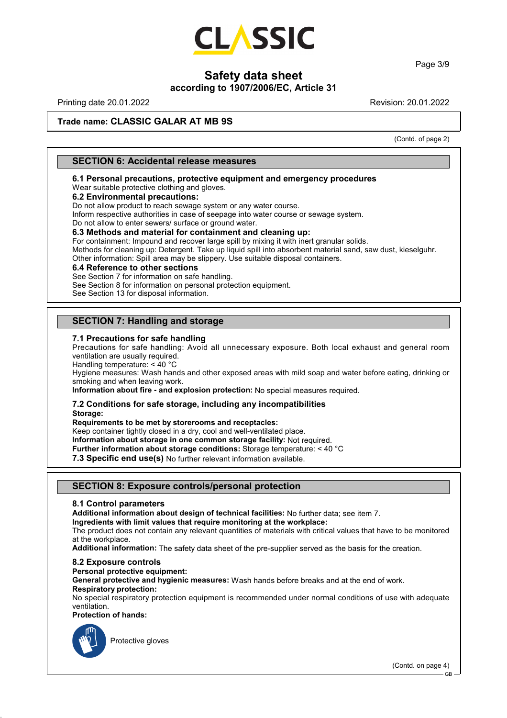

Page 3/9

# **Safety data sheet**

#### **according to 1907/2006/EC, Article 31**

Printing date 20.01.2022 Revision: 20.01.2022

### **Trade name: CLASSIC GALAR AT MB 9S**

(Contd. of page 2)

#### **SECTION 6: Accidental release measures**

**6.1 Personal precautions, protective equipment and emergency procedures**

# Wear suitable protective clothing and gloves.

**6.2 Environmental precautions:**

Do not allow product to reach sewage system or any water course.

Inform respective authorities in case of seepage into water course or sewage system.

Do not allow to enter sewers/ surface or ground water.

#### **6.3 Methods and material for containment and cleaning up:**

For containment: Impound and recover large spill by mixing it with inert granular solids. Methods for cleaning up: Detergent. Take up liquid spill into absorbent material sand, saw dust, kieselguhr.

Other information: Spill area may be slippery. Use suitable disposal containers.

#### **6.4 Reference to other sections**

See Section 7 for information on safe handling.

See Section 8 for information on personal protection equipment.

See Section 13 for disposal information.

#### **SECTION 7: Handling and storage**

#### **7.1 Precautions for safe handling**

Precautions for safe handling: Avoid all unnecessary exposure. Both local exhaust and general room ventilation are usually required.

Handling temperature: < 40 °C

Hygiene measures: Wash hands and other exposed areas with mild soap and water before eating, drinking or smoking and when leaving work.

**Information about fire - and explosion protection:** No special measures required.

#### **7.2 Conditions for safe storage, including any incompatibilities Storage:**

**Requirements to be met by storerooms and receptacles:**

Keep container tightly closed in a dry, cool and well-ventilated place.

**Information about storage in one common storage facility:** Not required.

**Further information about storage conditions:** Storage temperature: < 40 °C

**7.3 Specific end use(s)** No further relevant information available.

#### **SECTION 8: Exposure controls/personal protection**

#### **8.1 Control parameters**

**Additional information about design of technical facilities:** No further data; see item 7.

**Ingredients with limit values that require monitoring at the workplace:**

The product does not contain any relevant quantities of materials with critical values that have to be monitored at the workplace.

**Additional information:** The safety data sheet of the pre-supplier served as the basis for the creation.

#### **8.2 Exposure controls**

**Personal protective equipment:**

**General protective and hygienic measures:** Wash hands before breaks and at the end of work. **Respiratory protection:**

No special respiratory protection equipment is recommended under normal conditions of use with adequate ventilation.

#### **Protection of hands:**



Protective gloves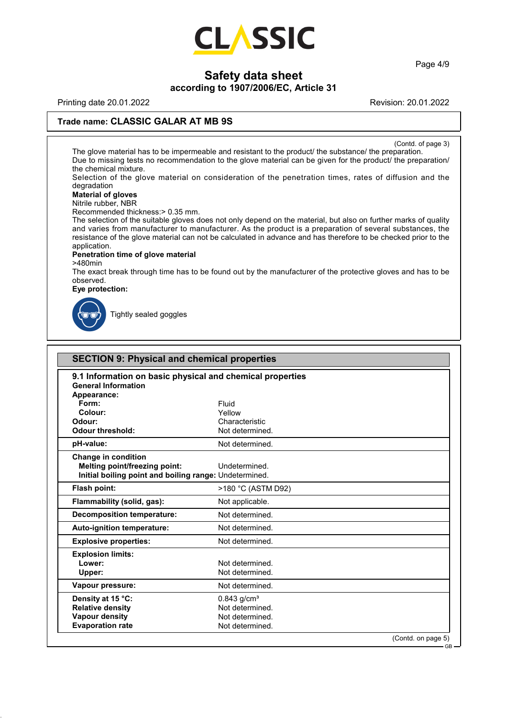

Page 4/9

# **Safety data sheet**

# **according to 1907/2006/EC, Article 31**

Printing date 20.01.2022 **Revision: 20.01.2022** Revision: 20.01.2022

#### **Trade name: CLASSIC GALAR AT MB 9S**

(Contd. of page 3)

The glove material has to be impermeable and resistant to the product/ the substance/ the preparation. Due to missing tests no recommendation to the glove material can be given for the product/ the preparation/ the chemical mixture.

Selection of the glove material on consideration of the penetration times, rates of diffusion and the degradation

## **Material of gloves**

Nitrile rubber, NBR

Recommended thickness:> 0.35 mm.

The selection of the suitable gloves does not only depend on the material, but also on further marks of quality and varies from manufacturer to manufacturer. As the product is a preparation of several substances, the resistance of the glove material can not be calculated in advance and has therefore to be checked prior to the application.

#### **Penetration time of glove material**

>480min

The exact break through time has to be found out by the manufacturer of the protective gloves and has to be observed.

#### **Eye protection:**



Tightly sealed goggles

|                                                                                                                       | <b>SECTION 9: Physical and chemical properties</b> |                    |  |
|-----------------------------------------------------------------------------------------------------------------------|----------------------------------------------------|--------------------|--|
| 9.1 Information on basic physical and chemical properties<br><b>General Information</b><br>Appearance:                |                                                    |                    |  |
| Form:                                                                                                                 | Fluid                                              |                    |  |
| Colour:                                                                                                               | Yellow                                             |                    |  |
| Odour:                                                                                                                | Characteristic                                     |                    |  |
| <b>Odour threshold:</b>                                                                                               | Not determined.                                    |                    |  |
| pH-value:                                                                                                             | Not determined.                                    |                    |  |
| Change in condition<br><b>Melting point/freezing point:</b><br>Initial boiling point and boiling range: Undetermined. | Undetermined.                                      |                    |  |
| <b>Flash point:</b>                                                                                                   | >180 °C (ASTM D92)                                 |                    |  |
| Flammability (solid, gas):                                                                                            | Not applicable.                                    |                    |  |
| <b>Decomposition temperature:</b>                                                                                     | Not determined.                                    |                    |  |
| Auto-ignition temperature:                                                                                            | Not determined.                                    |                    |  |
| <b>Explosive properties:</b>                                                                                          | Not determined.                                    |                    |  |
| <b>Explosion limits:</b>                                                                                              |                                                    |                    |  |
| Lower:                                                                                                                | Not determined.                                    |                    |  |
| Upper:                                                                                                                | Not determined.                                    |                    |  |
| Vapour pressure:                                                                                                      | Not determined.                                    |                    |  |
| Density at 15 °C:                                                                                                     | $0.843$ g/cm <sup>3</sup>                          |                    |  |
| <b>Relative density</b>                                                                                               | Not determined.                                    |                    |  |
| <b>Vapour density</b>                                                                                                 | Not determined.                                    |                    |  |
| <b>Evaporation rate</b>                                                                                               | Not determined.                                    |                    |  |
|                                                                                                                       |                                                    | (Contd. on page 5) |  |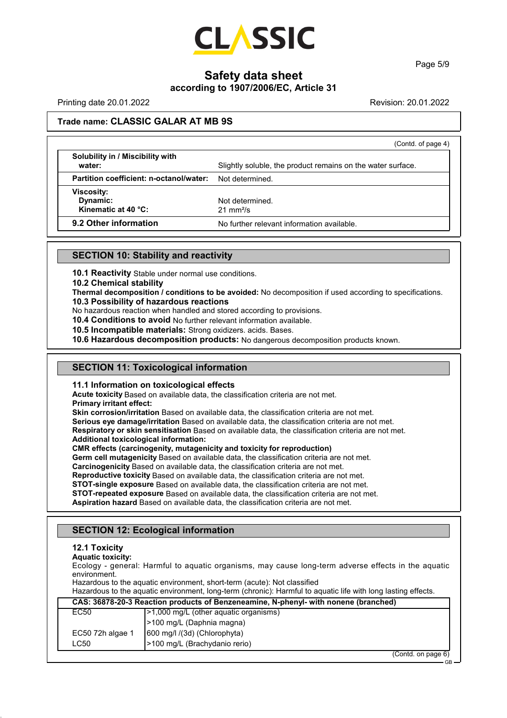

Page 5/9

# **Safety data sheet**

## **according to 1907/2006/EC, Article 31**

Printing date 20.01.2022 Revision: 20.01.2022

### **Trade name: CLASSIC GALAR AT MB 9S**

|                                            | (Contd. of page 4)                                          |
|--------------------------------------------|-------------------------------------------------------------|
| Solubility in / Miscibility with<br>water: | Slightly soluble, the product remains on the water surface. |
| Partition coefficient: n-octanol/water:    | Not determined.                                             |
| <b>Viscosity:</b>                          |                                                             |
| Dynamic:                                   | Not determined.                                             |
| Kinematic at 40 $°C$ :                     | $21 \text{ mm}^2$ /s                                        |
| 9.2 Other information                      | No further relevant information available.                  |

#### **SECTION 10: Stability and reactivity**

**10.1 Reactivity** Stable under normal use conditions.

**10.2 Chemical stability**

**Thermal decomposition / conditions to be avoided:** No decomposition if used according to specifications. **10.3 Possibility of hazardous reactions**

No hazardous reaction when handled and stored according to provisions.

**10.4 Conditions to avoid** No further relevant information available.

**10.5 Incompatible materials:** Strong oxidizers. acids. Bases.

**10.6 Hazardous decomposition products:** No dangerous decomposition products known.

#### **SECTION 11: Toxicological information**

#### **11.1 Information on toxicological effects**

**Acute toxicity** Based on available data, the classification criteria are not met. **Primary irritant effect:**

**Skin corrosion/irritation** Based on available data, the classification criteria are not met. **Serious eye damage/irritation** Based on available data, the classification criteria are not met. **Respiratory or skin sensitisation** Based on available data, the classification criteria are not met. **Additional toxicological information:**

**CMR effects (carcinogenity, mutagenicity and toxicity for reproduction)**

**Germ cell mutagenicity** Based on available data, the classification criteria are not met.

**Carcinogenicity** Based on available data, the classification criteria are not met.

**Reproductive toxicity** Based on available data, the classification criteria are not met.

**STOT-single exposure** Based on available data, the classification criteria are not met.

**STOT-repeated exposure** Based on available data, the classification criteria are not met.

**Aspiration hazard** Based on available data, the classification criteria are not met.

#### **SECTION 12: Ecological information**

#### **12.1 Toxicity**

**Aquatic toxicity:**

Ecology - general: Harmful to aquatic organisms, may cause long-term adverse effects in the aquatic environment.

Hazardous to the aquatic environment, short-term (acute): Not classified

Hazardous to the aquatic environment, long-term (chronic): Harmful to aquatic life with long lasting effects.

| CAS: 36878-20-3 Reaction products of Benzeneamine, N-phenyl- with nonene (branched) |                                        |  |
|-------------------------------------------------------------------------------------|----------------------------------------|--|
| EC50                                                                                | (>1,000 mg/L (other aquatic organisms) |  |
|                                                                                     | >100 mg/L (Daphnia magna)              |  |
| EC50 72h algae 1                                                                    | 600 mg/l /(3d) (Chlorophyta)           |  |
| ∟C50                                                                                | -100 mg/L (Brachydanio rerio)          |  |
|                                                                                     | $(0.0001)$ and $(0.0000)$              |  |

(Contd. on page 6)

GB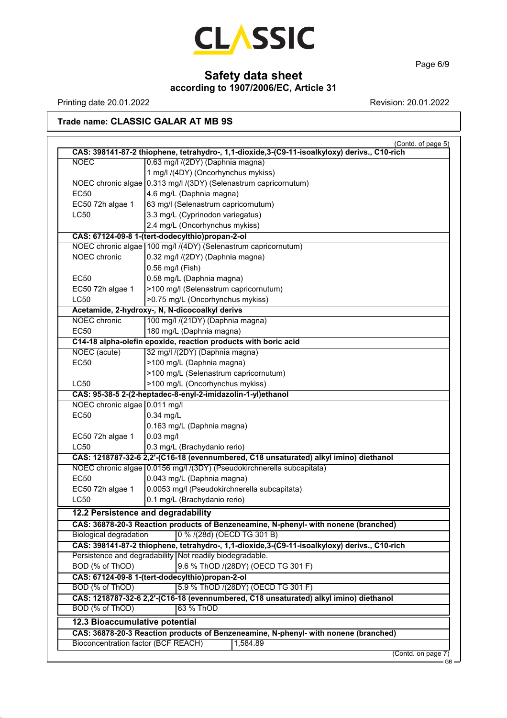

Page 6/9

# **Safety data sheet**

**according to 1907/2006/EC, Article 31**

Printing date 20.01.2022 **Revision: 20.01.2022** 

# **Trade name: CLASSIC GALAR AT MB 9S**

| <b>NOEC</b>                    | CAS: 398141-87-2 thiophene, tetrahydro-, 1,1-dioxide,3-(C9-11-isoalkyloxy) derivs., C10-rich<br>0.63 mg/l /(2DY) (Daphnia magna) |
|--------------------------------|----------------------------------------------------------------------------------------------------------------------------------|
|                                | 1 mg/l /(4DY) (Oncorhynchus mykiss)                                                                                              |
|                                | NOEC chronic algae 0.313 mg/l /(3DY) (Selenastrum capricornutum)                                                                 |
| <b>EC50</b>                    | 4.6 mg/L (Daphnia magna)                                                                                                         |
| EC50 72h algae 1               | 63 mg/l (Selenastrum capricornutum)                                                                                              |
| <b>LC50</b>                    | 3.3 mg/L (Cyprinodon variegatus)                                                                                                 |
|                                | 2.4 mg/L (Oncorhynchus mykiss)                                                                                                   |
|                                | CAS: 67124-09-8 1-(tert-dodecylthio)propan-2-ol                                                                                  |
|                                | NOEC chronic algae 100 mg/l /(4DY) (Selenastrum capricornutum)                                                                   |
| <b>NOEC</b> chronic            | 0.32 mg/l /(2DY) (Daphnia magna)                                                                                                 |
|                                | 0.56 mg/l (Fish)                                                                                                                 |
| <b>EC50</b>                    | 0.58 mg/L (Daphnia magna)                                                                                                        |
| EC50 72h algae 1               | >100 mg/l (Selenastrum capricornutum)                                                                                            |
| <b>LC50</b>                    | >0.75 mg/L (Oncorhynchus mykiss)                                                                                                 |
|                                | Acetamide, 2-hydroxy-, N, N-dicocoalkyl derivs                                                                                   |
| <b>NOEC</b> chronic            | 100 mg/l /(21DY) (Daphnia magna)                                                                                                 |
| <b>EC50</b>                    | 180 mg/L (Daphnia magna)                                                                                                         |
|                                | C14-18 alpha-olefin epoxide, reaction products with boric acid                                                                   |
| NOEC (acute)                   | 32 mg/l /(2DY) (Daphnia magna)                                                                                                   |
| <b>EC50</b>                    | >100 mg/L (Daphnia magna)                                                                                                        |
|                                | >100 mg/L (Selenastrum capricornutum)                                                                                            |
| LC50                           | >100 mg/L (Oncorhynchus mykiss)                                                                                                  |
|                                | CAS: 95-38-5 2-(2-heptadec-8-enyl-2-imidazolin-1-yl)ethanol                                                                      |
| NOEC chronic algae 0.011 mg/l  |                                                                                                                                  |
| <b>EC50</b>                    | $0.34$ mg/L                                                                                                                      |
|                                | 0.163 mg/L (Daphnia magna)                                                                                                       |
| EC50 72h algae 1               | $0.03$ mg/l                                                                                                                      |
| <b>LC50</b>                    | 0.3 mg/L (Brachydanio rerio)                                                                                                     |
|                                | CAS: 1218787-32-6 2,2'-(C16-18 (evennumbered, C18 unsaturated) alkyl imino) diethanol                                            |
|                                | NOEC chronic algae 0.0156 mg/l /(3DY) (Pseudokirchnerella subcapitata)                                                           |
| <b>EC50</b>                    | 0.043 mg/L (Daphnia magna)                                                                                                       |
| EC50 72h algae 1               | 0.0053 mg/l (Pseudokirchnerella subcapitata)                                                                                     |
| <b>LC50</b>                    | 0.1 mg/L (Brachydanio rerio)                                                                                                     |
|                                | 12.2 Persistence and degradability                                                                                               |
|                                | CAS: 36878-20-3 Reaction products of Benzeneamine, N-phenyl- with nonene (branched)                                              |
| <b>Biological degradation</b>  | 0 % /(28d) (OECD TG 301 B)                                                                                                       |
|                                | CAS: 398141-87-2 thiophene, tetrahydro-, 1,1-dioxide,3-(C9-11-isoalkyloxy) derivs., C10-rich                                     |
|                                | Persistence and degradability   Not readily biodegradable.                                                                       |
| BOD (% of ThOD)                | 9.6 % ThOD /(28DY) (OECD TG 301 F)                                                                                               |
|                                | CAS: 67124-09-8 1-(tert-dodecylthio)propan-2-ol                                                                                  |
| BOD (% of ThOD)                | 5.9 % ThOD /(28DY) (OECD TG 301 F)                                                                                               |
|                                | CAS: 1218787-32-6 2,2'-(C16-18 (evennumbered, C18 unsaturated) alkyl imino) diethanol                                            |
| BOD (% of ThOD)                | 63 % ThOD                                                                                                                        |
| 12.3 Bioaccumulative potential |                                                                                                                                  |
|                                |                                                                                                                                  |
|                                | CAS: 36878-20-3 Reaction products of Benzeneamine, N-phenyl- with nonene (branched)                                              |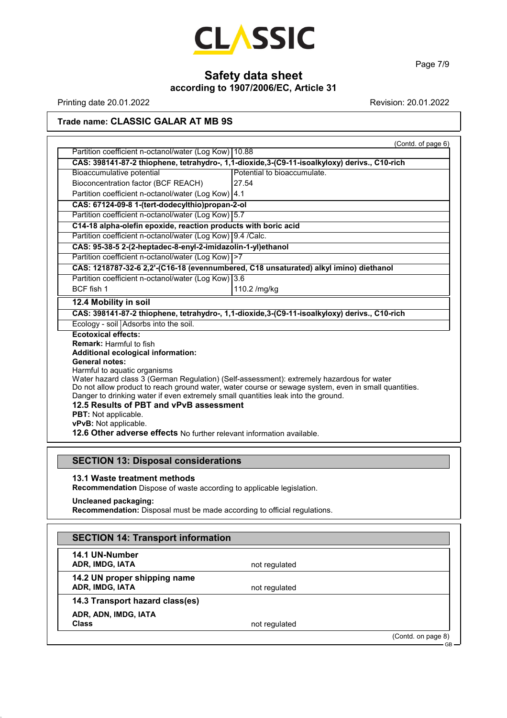

Page 7/9

# **Safety data sheet**

**according to 1907/2006/EC, Article 31**

Printing date 20.01.2022 **Revision: 20.01.2022** Revision: 20.01.2022

## **Trade name: CLASSIC GALAR AT MB 9S**

|                                                                                   | (Contd. of page 6)                                                                                                                                                                                |
|-----------------------------------------------------------------------------------|---------------------------------------------------------------------------------------------------------------------------------------------------------------------------------------------------|
| Partition coefficient n-octanol/water (Log Kow)   10.88                           |                                                                                                                                                                                                   |
|                                                                                   | CAS: 398141-87-2 thiophene, tetrahydro-, 1,1-dioxide,3-(C9-11-isoalkyloxy) derivs., C10-rich                                                                                                      |
| Bioaccumulative potential                                                         | Potential to bioaccumulate.                                                                                                                                                                       |
| Bioconcentration factor (BCF REACH)                                               | 27.54                                                                                                                                                                                             |
| Partition coefficient n-octanol/water (Log Kow) 4.1                               |                                                                                                                                                                                                   |
| CAS: 67124-09-8 1-(tert-dodecylthio)propan-2-ol                                   |                                                                                                                                                                                                   |
| Partition coefficient n-octanol/water (Log Kow) 5.7                               |                                                                                                                                                                                                   |
| C14-18 alpha-olefin epoxide, reaction products with boric acid                    |                                                                                                                                                                                                   |
| Partition coefficient n-octanol/water (Log Kow) 9.4 / Calc.                       |                                                                                                                                                                                                   |
| CAS: 95-38-5 2-(2-heptadec-8-enyl-2-imidazolin-1-yl)ethanol                       |                                                                                                                                                                                                   |
| Partition coefficient n-octanol/water (Log Kow)   > 7                             |                                                                                                                                                                                                   |
|                                                                                   | CAS: 1218787-32-6 2,2'-(C16-18 (evennumbered, C18 unsaturated) alkyl imino) diethanol                                                                                                             |
| Partition coefficient n-octanol/water (Log Kow) 3.6                               |                                                                                                                                                                                                   |
| <b>BCF</b> fish 1                                                                 | 110.2 /mg/kg                                                                                                                                                                                      |
| 12.4 Mobility in soil                                                             |                                                                                                                                                                                                   |
|                                                                                   | CAS: 398141-87-2 thiophene, tetrahydro-, 1,1-dioxide,3-(C9-11-isoalkyloxy) derivs., C10-rich                                                                                                      |
| Ecology - soil Adsorbs into the soil.                                             |                                                                                                                                                                                                   |
| <b>Ecotoxical effects:</b>                                                        |                                                                                                                                                                                                   |
| <b>Remark: Harmful to fish</b>                                                    |                                                                                                                                                                                                   |
| Additional ecological information:                                                |                                                                                                                                                                                                   |
| <b>General notes:</b>                                                             |                                                                                                                                                                                                   |
| Harmful to aquatic organisms                                                      |                                                                                                                                                                                                   |
|                                                                                   | Water hazard class 3 (German Regulation) (Self-assessment): extremely hazardous for water<br>Do not allow product to reach ground water, water course or sewage system, even in small quantities. |
| Danger to drinking water if even extremely small quantities leak into the ground. |                                                                                                                                                                                                   |
| 12.5 Results of PBT and vPvB assessment                                           |                                                                                                                                                                                                   |
|                                                                                   |                                                                                                                                                                                                   |
| <b>PBT:</b> Not applicable.                                                       |                                                                                                                                                                                                   |
| vPvB: Not applicable.                                                             |                                                                                                                                                                                                   |
| 12.6 Other adverse effects No further relevant information available.             |                                                                                                                                                                                                   |

# **SECTION 13: Disposal considerations**

#### **13.1 Waste treatment methods**

**Recommendation** Dispose of waste according to applicable legislation.

#### **Uncleaned packaging:**

**Recommendation:** Disposal must be made according to official regulations.

| <b>SECTION 14: Transport information</b>        |               |                    |
|-------------------------------------------------|---------------|--------------------|
| 14.1 UN-Number<br>ADR, IMDG, IATA               | not regulated |                    |
| 14.2 UN proper shipping name<br>ADR, IMDG, IATA | not regulated |                    |
| 14.3 Transport hazard class(es)                 |               |                    |
| ADR, ADN, IMDG, IATA<br><b>Class</b>            | not regulated |                    |
|                                                 |               | (Contd. on page 8) |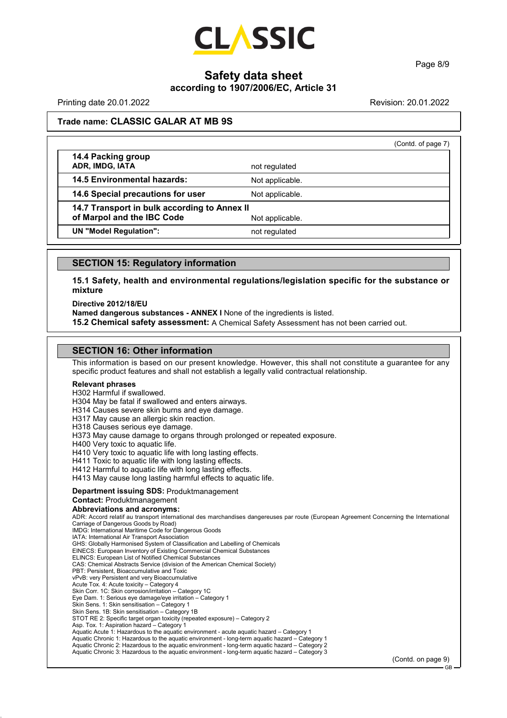

Page 8/9

# **Safety data sheet**

#### **according to 1907/2006/EC, Article 31**

Printing date 20.01.2022 Revision: 20.01.2022

#### **Trade name: CLASSIC GALAR AT MB 9S**

|                                              |                 | (Contd. of page 7) |
|----------------------------------------------|-----------------|--------------------|
| 14.4 Packing group<br>ADR, IMDG, IATA        | not regulated   |                    |
| <b>14.5 Environmental hazards:</b>           | Not applicable. |                    |
| 14.6 Special precautions for user            | Not applicable. |                    |
| 14.7 Transport in bulk according to Annex II |                 |                    |
| of Marpol and the IBC Code                   | Not applicable. |                    |
| <b>UN "Model Regulation":</b>                | not regulated   |                    |
|                                              |                 |                    |

#### **SECTION 15: Regulatory information**

**15.1 Safety, health and environmental regulations/legislation specific for the substance or mixture**

**Directive 2012/18/EU**

**Named dangerous substances - ANNEX I** None of the ingredients is listed.

**15.2 Chemical safety assessment:** A Chemical Safety Assessment has not been carried out.

#### **SECTION 16: Other information**

This information is based on our present knowledge. However, this shall not constitute a guarantee for any specific product features and shall not establish a legally valid contractual relationship.

#### **Relevant phrases**

H302 Harmful if swallowed. H304 May be fatal if swallowed and enters airways.

H314 Causes severe skin burns and eye damage.

H317 May cause an allergic skin reaction.

H318 Causes serious eye damage.

H373 May cause damage to organs through prolonged or repeated exposure.

H400 Very toxic to aquatic life.

H410 Very toxic to aquatic life with long lasting effects.

H411 Toxic to aquatic life with long lasting effects.

H412 Harmful to aquatic life with long lasting effects.

H413 May cause long lasting harmful effects to aquatic life.

#### **Department issuing SDS:** Produktmanagement

#### **Contact:** Produktmanagement

**Abbreviations and acronyms:**

ADR: Accord relatif au transport international des marchandises dangereuses par route (European Agreement Concerning the International Carriage of Dangerous Goods by Road)

IMDG: International Maritime Code for Dangerous Goods

IATA: International Air Transport Association GHS: Globally Harmonised System of Classification and Labelling of Chemicals

EINECS: European Inventory of Existing Commercial Chemical Substances

ELINCS: European List of Notified Chemical Substances

CAS: Chemical Abstracts Service (division of the American Chemical Society) PBT: Persistent, Bioaccumulative and Toxic

vPvB: very Persistent and very Bioaccumulative

Acute Tox. 4: Acute toxicity – Category 4 Skin Corr. 1C: Skin corrosion/irritation – Category 1C

Eye Dam. 1: Serious eye damage/eye irritation – Category 1

Skin Sens. 1: Skin sensitisation – Category 1

Skin Sens. 1B: Skin sensitisation – Category 1B

STOT RE 2: Specific target organ toxicity (repeated exposure) – Category 2 Asp. Tox. 1: Aspiration hazard – Category 1

Aquatic Acute 1: Hazardous to the aquatic environment - acute aquatic hazard – Category 1

Aquatic Chronic 1: Hazardous to the aquatic environment - long-term aquatic hazard – Category 1

Aquatic Chronic 2: Hazardous to the aquatic environment - long-term aquatic hazard – Category 2 Aquatic Chronic 3: Hazardous to the aquatic environment - long-term aquatic hazard – Category 3

(Contd. on page 9)

GB